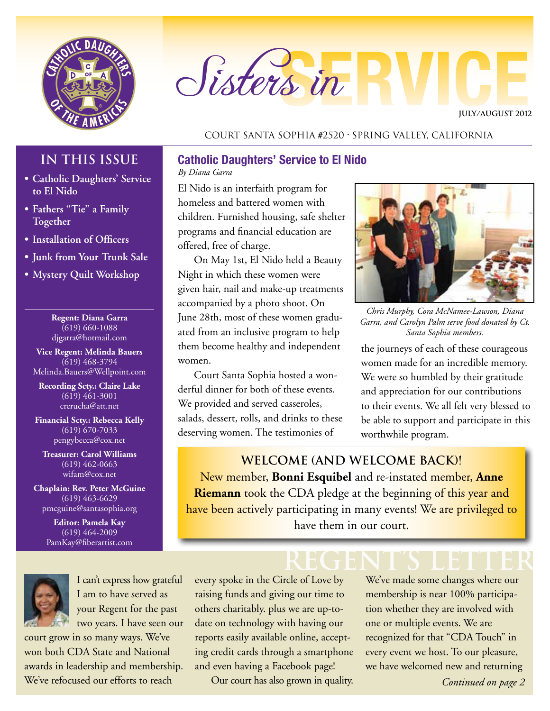

# Sisters in

**JULY/AUGUST 2012**

#### Court Santa Sophia #2520 • Spring Valley, California

#### **IN THIS ISSUE**

- **• Catholic Daughters' Service to El Nido**
- **• Fathers "Tie" a Family Together**
- **• Installation of Officers**
- **• Junk from Your Trunk Sale**
- **• Mystery Quilt Workshop**

**Regent: Diana Garra**  $(619) 660 - 1088$ djgarra@hotmail.com

**Vice Regent: Melinda Bauers**  $(619)$  468-3794 Melinda.Bauers@Wellpoint.com

**Recording Scty.: Claire Lake** (619) 461-3001 crerucha@att.net

**Financial Scty.: Rebecca Kelly** (619) 670-7033 pengybecca@cox.net

**Treasurer: Carol Williams** (619) 462-0663 wifam@cox.net

**Chaplain: Rev. Peter McGuine** (619) 463-6629 pmcguine@santasophia.org

> **Editor: Pamela Kay**  $\overline{(619)}$  464-2009 PamKay@fiberartist.com



I can't express how grateful I am to have served as your Regent for the past two years. I have seen our

court grow in so many ways. We've won both CDA State and National awards in leadership and membership. We've refocused our efforts to reach

#### **Catholic Daughters' Service to El Nido**

*By Diana Garra*

El Nido is an interfaith program for homeless and battered women with children. Furnished housing, safe shelter programs and financial education are offered, free of charge.

On May 1st, El Nido held a Beauty Night in which these women were given hair, nail and make-up treatments accompanied by a photo shoot. On June 28th, most of these women graduated from an inclusive program to help them become healthy and independent women.

Court Santa Sophia hosted a wonderful dinner for both of these events. We provided and served casseroles, salads, dessert, rolls, and drinks to these deserving women. The testimonies of



*Chris Murphy, Cora McNamee-Lawson, Diana Garra, and Carolyn Palm serve food donated by Ct. Santa Sophia members.*

the journeys of each of these courageous women made for an incredible memory. We were so humbled by their gratitude and appreciation for our contributions to their events. We all felt very blessed to be able to support and participate in this worthwhile program.

## **Welcome (and WELCOME BACK)!**

New member, **Bonni Esquibel** and re-instated member, **Anne Riemann** took the CDA pledge at the beginning of this year and have been actively participating in many events! We are privileged to have them in our court.

**REGENT's LETTER** every spoke in the Circle of Love by raising funds and giving our time to others charitably. plus we are up-todate on technology with having our reports easily available online, accepting credit cards through a smartphone and even having a Facebook page!

Our court has also grown in quality.

We've made some changes where our membership is near 100% participation whether they are involved with one or multiple events. We are recognized for that "CDA Touch" in every event we host. To our pleasure, we have welcomed new and returning

*Continued on page 2*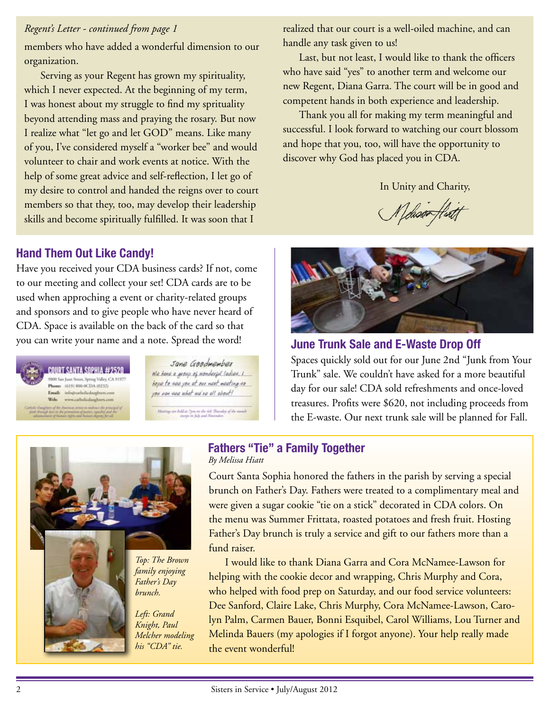#### *Regent's Letter - continued from page 1*

members who have added a wonderful dimension to our organization.

Serving as your Regent has grown my spirituality, which I never expected. At the beginning of my term, I was honest about my struggle to find my sprituality beyond attending mass and praying the rosary. But now I realize what "let go and let GOD" means. Like many of you, I've considered myself a "worker bee" and would volunteer to chair and work events at notice. With the help of some great advice and self-reflection, I let go of my desire to control and handed the reigns over to court members so that they, too, may develop their leadership skills and become spiritually fulfilled. It was soon that I

#### **Hand Them Out Like Candy!**

Have you received your CDA business cards? If not, come to our meeting and collect your set! CDA cards are to be used when approching a event or charity-related groups and sponsors and to give people who have never heard of CDA. Space is available on the back of the card so that you can write your name and a note. Spread the word! **June Trunk Sale and E-Waste Drop Off**



Jane Goodwember Na hara a prevo es vendarsi tadian. L' hope to see you of our next weeking as you age was what we're all about!

are held as "passes the dift Thursday of the month



Last, but not least, I would like to thank the officers who have said "yes" to another term and welcome our new Regent, Diana Garra. The court will be in good and competent hands in both experience and leadership.

Thank you all for making my term meaningful and successful. I look forward to watching our court blossom and hope that you, too, will have the opportunity to discover why God has placed you in CDA.

In Unity and Charity,

lehoso



Spaces quickly sold out for our June 2nd "Junk from Your Trunk" sale. We couldn't have asked for a more beautiful day for our sale! CDA sold refreshments and once-loved treasures. Profits were \$620, not including proceeds from the E-waste. Our next trunk sale will be planned for Fall.



#### **Fathers "Tie" a Family Together** *By Melissa Hiatt*

Court Santa Sophia honored the fathers in the parish by serving a special brunch on Father's Day. Fathers were treated to a complimentary meal and were given a sugar cookie "tie on a stick" decorated in CDA colors. On the menu was Summer Frittata, roasted potatoes and fresh fruit. Hosting Father's Day brunch is truly a service and gift to our fathers more than a fund raiser.

I would like to thank Diana Garra and Cora McNamee-Lawson for helping with the cookie decor and wrapping, Chris Murphy and Cora, who helped with food prep on Saturday, and our food service volunteers: Dee Sanford, Claire Lake, Chris Murphy, Cora McNamee-Lawson, Carolyn Palm, Carmen Bauer, Bonni Esquibel, Carol Williams, Lou Turner and Melinda Bauers (my apologies if I forgot anyone). Your help really made the event wonderful!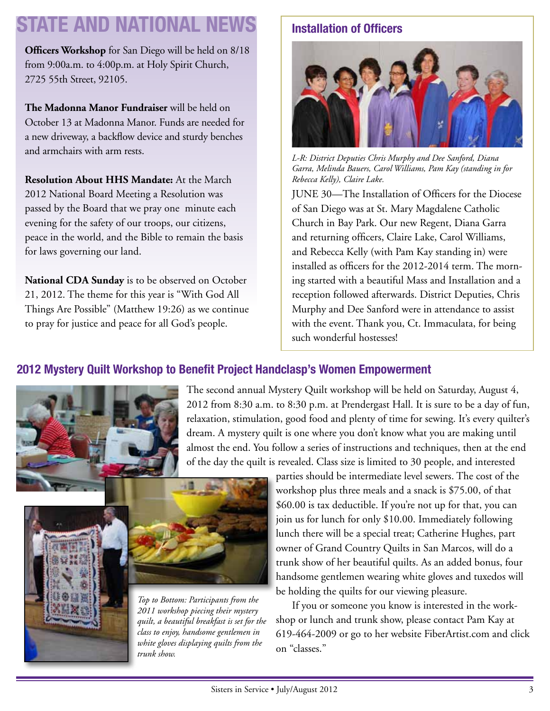# **STATE AND NATIONAL NEWS**

**Officers Workshop** for San Diego will be held on 8/18 from 9:00a.m. to 4:00p.m. at Holy Spirit Church, 2725 55th Street, 92105.

**The Madonna Manor Fundraiser** will be held on October 13 at Madonna Manor. Funds are needed for a new driveway, a backflow device and sturdy benches and armchairs with arm rests.

**Resolution About HHS Mandate:** At the March 2012 National Board Meeting a Resolution was passed by the Board that we pray one minute each evening for the safety of our troops, our citizens, peace in the world, and the Bible to remain the basis for laws governing our land.

**National CDA Sunday** is to be observed on October 21, 2012. The theme for this year is "With God All Things Are Possible" (Matthew 19:26) as we continue to pray for justice and peace for all God's people.

# **Installation of Officers**



*L-R: District Deputies Chris Murphy and Dee Sanford, Diana Garra, Melinda Bauers, Carol Williams, Pam Kay (standing in for Rebecca Kelly), Claire Lake.*

JUNE 30—The Installation of Officers for the Diocese of San Diego was at St. Mary Magdalene Catholic Church in Bay Park. Our new Regent, Diana Garra and returning officers, Claire Lake, Carol Williams, and Rebecca Kelly (with Pam Kay standing in) were installed as officers for the 2012-2014 term. The morning started with a beautiful Mass and Installation and a reception followed afterwards. District Deputies, Chris Murphy and Dee Sanford were in attendance to assist with the event. Thank you, Ct. Immaculata, for being such wonderful hostesses!

#### **2012 Mystery Quilt Workshop to Benefit Project Handclasp's Women Empowerment**



The second annual Mystery Quilt workshop will be held on Saturday, August 4, 2012 from 8:30 a.m. to 8:30 p.m. at Prendergast Hall. It is sure to be a day of fun, relaxation, stimulation, good food and plenty of time for sewing. It's every quilter's dream. A mystery quilt is one where you don't know what you are making until almost the end. You follow a series of instructions and techniques, then at the end of the day the quilt is revealed. Class size is limited to 30 people, and interested





*Top to Bottom: Participants from the 2011 workshop piecing their mystery quilt, a beautiful breakfast is set for the class to enjoy, handsome gentlemen in white gloves displaying quilts from the trunk show.*

parties should be intermediate level sewers. The cost of the workshop plus three meals and a snack is \$75.00, of that \$60.00 is tax deductible. If you're not up for that, you can join us for lunch for only \$10.00. Immediately following lunch there will be a special treat; Catherine Hughes, part owner of Grand Country Quilts in San Marcos, will do a trunk show of her beautiful quilts. As an added bonus, four handsome gentlemen wearing white gloves and tuxedos will be holding the quilts for our viewing pleasure.

If you or someone you know is interested in the workshop or lunch and trunk show, please contact Pam Kay at 619-464-2009 or go to her website FiberArtist.com and click on "classes."